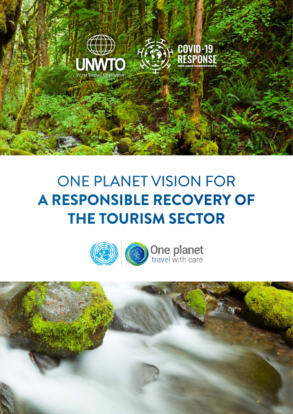



# ONE PLANET VISION FOR **A RESPONSIBLE RECOVERY OF THE TOURISM SECTOR**

ONE PLANET VISION FOR A **RESPONSIBLE RECOVERY OF THE TOURISM SECTOR**







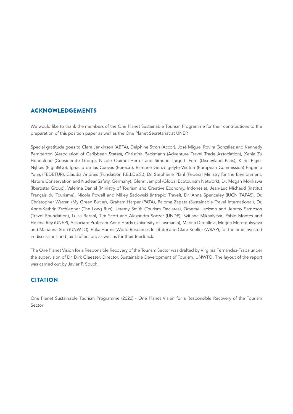## ACKNOWLEDGEMENTS

We would like to thank the members of the One Planet Sustainable Tourism Programme for their contributions to the preparation of this position paper as well as the One Planet Secretariat at UNEP.

Special gratitude goes to Clare Jenkinson (ABTA), Delphine Stroh (Accor), José Miguel Rovira González and Kennedy Pemberton (Association of Caribbean States), Christina Beckmann (Adventure Travel Trade Association), Xenia Zu Hohenlohe (Considerate Group), Nicole Ouimet-Herter and Simone Targetti Ferri (Disneyland Paris), Karin Elgin-Nijhuis (Elgin&Co), Ignacio de las Cuevas (Eurecat), Ramune Genzbigelyte-Venturi (European Commission) Eugenio Yunis (FEDETUR), Claudia Andreis (Fundación F.E.I.De.S.), Dr. Stephanie Pfahl (Federal Ministry for the Environment, Nature Conservation and Nuclear Safety, Germany), Glenn Jampol (Global Ecotourism Network), Dr. Megan Morikawa (Iberostar Group), Valerina Daniel (Ministry of Tourism and Creative Economy, Indonesia), Jean-Luc Michaud (Institut Français du Tourisme), Nicole Powell and Mikey Sadowski (Intrepid Travel), Dr. Anna Spenceley (IUCN TAPAS), Dr. Christopher Warren (My Green Butler), Graham Harper (PATA), Paloma Zapata (Sustainable Travel International), Dr. Anne-Kathrin Zschiegner (The Long Run), Jeremy Smith (Tourism Declares), Graeme Jackson and Jeremy Sampson (Travel Foundation), Luisa Bernal, Tim Scott and Alexandra Soezer (UNDP), Svitlana Mikhalyeva, Pablo Montes and Helena Rey (UNEP), Associate Professor Anne Hardy (University of Tasmania), Marina Diotallevi, Merjen Meretgulyyeva and Marianna Stori (UNWTO), Erika Harms (World Resources Institute) and Clare Kneller (WRAP), for the time invested in discussions and joint reflection, as well as for their feedback.

The One Planet Vision for a Responsible Recovery of the Tourism Sector was drafted by Virginia Fernández-Trapa under the supervision of Dr. Dirk Glaesser, Director, Sustainable Development of Tourism, UNWTO. The layout of the report was carried out by Javier P. Spuch.

#### **CITATIO**N

One Planet Sustainable Tourism Programme (2020) - One Planet Vision for a Responsible Recovery of the Tourism Sector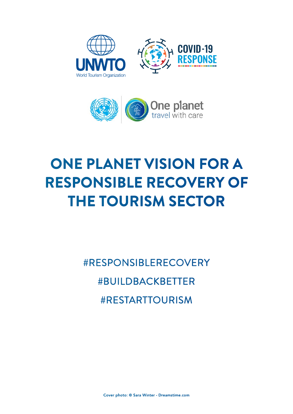



# **ONE PLANET VISION FOR A RESPONSIBLE RECOVERY OF THE TOURISM SECTOR**

#RESPONSIBLERECOVERY #BUILDBACKBETTER #RESTARTTOURISM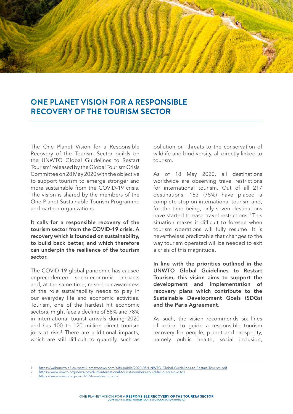

# **ONE PLANET VISION FOR A RESPONSIBLE RECOVERY OF THE TOURISM SECTOR**

The One Planet Vision for a Responsible Recovery of the Tourism Sector builds on the UNWTO Global Guidelines to Restart Tourism1 released by the Global Tourism Crisis Committee on 28 May 2020 with the objective to support tourism to emerge stronger and more sustainable from the COVID-19 crisis. The vision is shared by the members of the One Planet Sustainable Tourism Programme and partner organizations.

It calls for a responsible recovery of the tourism sector from the COVID-19 crisis. A recovery which is founded on sustainability, to build back better, and which therefore can underpin the resilience of the tourism sector.

The COVID-19 global pandemic has caused unprecedented socio-economic impacts and, at the same time, raised our awareness of the role sustainability needs to play in our everyday life and economic activities. Tourism, one of the hardest hit economic sectors, might face a decline of 58% and 78% in international tourist arrivals during 2020 and has 100 to 120 million direct tourism jobs at risk.2 There are additional impacts, which are still difficult to quantify, such as

pollution or threats to the conservation of wildlife and biodiversity, all directly linked to tourism.

As of 18 May 2020, all destinations worldwide are observing travel restrictions for international tourism. Out of all 217 destinations, 163 (75%) have placed a complete stop on international tourism and, for the time being, only seven destinations have started to ease travel restrictions.3 This situation makes it difficult to foresee when tourism operations will fully resume. It is nevertheless predictable that changes to the way tourism operated will be needed to exit a crisis of this magnitude.

In line with the priorities outlined in the UNWTO Global Guidelines to Restart Tourism, this vision aims to support the development and implementation of recovery plans which contribute to the Sustainable Development Goals (SDGs) and the Paris Agreement.

As such, the vision recommends six lines of action to guide a responsible tourism recovery for people, planet and prosperity, namely public health, social inclusion,

<sup>1</sup> <https://webunwto.s3.eu-west-1.amazonaws.com/s3fs-public/2020-05/UNWTO-Global-Guidelines-to-Restart-Tourism.pdf>

<sup>2</sup> <https://www.unwto.org/news/covid-19-international-tourist-numbers-could-fall-60-80-in-2020>

<https://www.unwto.org/covid-19-travel-restrictions>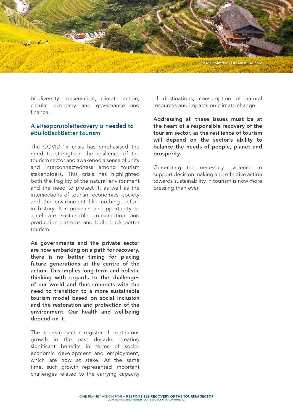

biodiversity conservation, climate action, circular economy and governance and finance.

### A #ResponsibleRecovery is needed to #BuildBackBetter tourism

The COVID-19 crisis has emphasised the need to strengthen the resilience of the tourism sector and awakened a sense of unity and interconnectedness among tourism stakeholders. This crisis has highlighted both the fragility of the natural environment and the need to protect it, as well as the intersections of tourism economics, society and the environment like nothing before in history. It represents an opportunity to accelerate sustainable consumption and production patterns and build back better tourism.

As governments and the private sector are now embarking on a path for recovery, there is no better timing for placing future generations at the centre of the action. This implies long-term and holistic thinking with regards to the challenges of our world and thus connects with the need to transition to a more sustainable tourism model based on social inclusion and the restoration and protection of the environment. Our health and wellbeing depend on it.

The tourism sector registered continuous growth in the past decade, creating significant benefits in terms of socioeconomic development and employment, which are now at stake. At the same time, such growth represented important challenges related to the carrying capacity of destinations, consumption of natural resources and impacts on climate change.

Addressing all these issues must be at the heart of a responsible recovery of the tourism sector, as the resilience of tourism will depend on the sector's ability to balance the needs of people, planet and prosperity.

Generating the necessary evidence to support decision making and effective action towards sustainability in tourism is now more pressing than ever.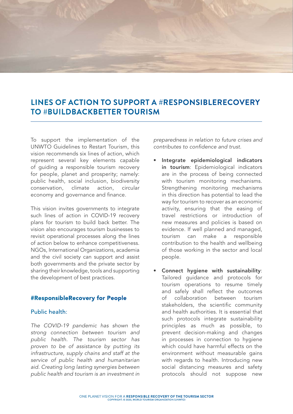

# **LINES OF ACTION TO SUPPORT A #RESPONSIBLERECOVERY TO #BUILDBACKBETTER TOURISM**

To support the implementation of the UNWTO Guidelines to Restart Tourism, this vision recommends six lines of action, which represent several key elements capable of guiding a responsible tourism recovery for people, planet and prosperity; namely: public health, social inclusion, biodiversity conservation, climate action, circular economy and governance and finance.

This vision invites governments to integrate such lines of action in COVID-19 recovery plans for tourism to build back better. The vision also encourages tourism businesses to revisit operational processes along the lines of action below to enhance competitiveness. NGOs, International Organizations, academia and the civil society can support and assist both governments and the private sector by sharing their knowledge, tools and supporting the development of best practices.

#### #ResponsibleRecovery for People

## Public health:

*The COVID-19 pandemic has shown the strong connection between tourism and public health. The tourism sector has proven to be of assistance by putting its infrastructure, supply chains and staff at the service of public health and humanitarian aid. Creating long lasting synergies between public health and tourism is an investment in*  *preparedness in relation to future crises and contributes to confidence and trust.*

- Integrate epidemiological indicators in tourism: Epidemiological indicators are in the process of being connected with tourism monitoring mechanisms. Strengthening monitoring mechanisms in this direction has potential to lead the way for tourism to recover as an economic activity, ensuring that the easing of travel restrictions or introduction of new measures and policies is based on evidence. If well planned and managed, tourism can make a responsible contribution to the health and wellbeing of those working in the sector and local people.
- Connect hygiene with sustainability: Tailored guidance and protocols for tourism operations to resume timely and safely shall reflect the outcomes of collaboration between tourism stakeholders, the scientific community and health authorities. It is essential that such protocols integrate sustainability principles as much as possible, to prevent decision-making and changes in processes in connection to hygiene which could have harmful effects on the environment without measurable gains with regards to health. Introducing new social distancing measures and safety protocols should not suppose new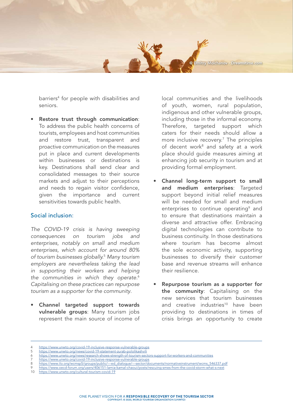© Dmitry Molchanov - Dreamstime.com

barriers4 for people with disabilities and seniors.

Restore trust through communication: To address the public health concerns of tourists, employees and host communities and restore trust, transparent and proactive communication on the measures put in place and current developments within businesses or destinations is key. Destinations shall send clear and consolidated messages to their source markets and adjust to their perceptions and needs to regain visitor confidence, given the importance and current sensitivities towards public health.

#### Social inclusion:

*The COVID-19 crisis is having sweeping consequences on tourism jobs and enterprises, notably on small and medium enterprises, which account for around 80% of tourism businesses globally.*<sup>5</sup>  *Many tourism employers are nevertheless taking the lead in supporting their workers and helping the communities in which they operate.*<sup>6</sup> *Capitalising on these practices can repurpose tourism as a supporter for the community*.

• Channel targeted support towards vulnerable groups: Many tourism jobs represent the main source of income of local communities and the livelihoods of youth, women, rural population, indigenous and other vulnerable groups, including those in the informal economy. Therefore, targeted support which caters for their needs should allow a more inclusive recovery.7 The principles of decent work<sup>8</sup> and safety at a work place should guide measures aiming at enhancing job security in tourism and at providing formal employment.

- Channel long-term support to small and medium enterprises: Targeted support beyond initial relief measures will be needed for small and medium enterprises to continue operating<sup>9</sup> and to ensure that destinations maintain a diverse and attractive offer. Embracing digital technologies can contribute to business continuity. In those destinations where tourism has become almost the sole economic activity, supporting businesses to diversify their customer base and revenue streams will enhance their resilience.
- Repurpose tourism as a supporter for the community: Capitalising on the new services that tourism businesses and creative industries<sup>10</sup> have been providing to destinations in times of crisis brings an opportunity to create

10 <https://www.unwto.org/cultural-tourism-covid-19>

<sup>4</sup> <https://www.unwto.org/covid-19-inclusive-response-vulnerable-groups><br>5 https://www.unwto.org/news/covid-19-statement-zurab-pololikashvili

<https://www.unwto.org/news/covid-19-statement-zurab-pololikashvili>

<sup>6</sup> <https://www.unwto.org/news/research-shows-strength-of-tourism-sectors-support-for-workers-and-communities>

<sup>7</sup> <https://www.unwto.org/covid-19-inclusive-response-vulnerable-groups>

<sup>8</sup> [https://www.ilo.org/wcmsp5/groups/public/---ed\\_dialogue/---sector/documents/normativeinstrument/wcms\\_546337.pdf](https://www.ilo.org/wcmsp5/groups/public/---ed_dialogue/---sector/documents/normativeinstrument/wcms)

<sup>9</sup> <https://www.oecd-forum.org/users/406151-lamia-kamal-chaoui/posts/rescuing-smes-from-the-covid-storm-what-s-next>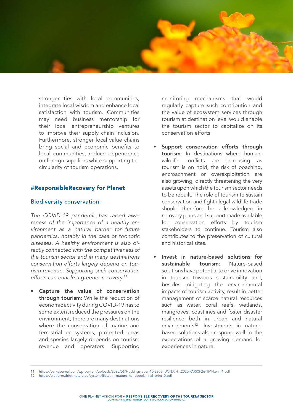

stronger ties with local communities, integrate local wisdom and enhance local satisfaction with tourism. Communities may need business mentorship for their local entrepreneurship ventures to improve their supply chain inclusion. Furthermore, stronger local value chains bring social and economic benefits to local communities, reduce dependence on foreign suppliers while supporting the circularity of tourism operations.

### #ResponsibleRecovery for Planet

#### Biodiversity conservation:

*The COVID-19 pandemic has raised awareness of the importance of a healthy environment as a natural barrier for future pandemics, notably in the case of zoonotic diseases. A healthy environment is also directly connected with the competitiveness of the tourism sector and in many destinations conservation efforts largely depend on tourism revenue. Supporting such conservation efforts can enable a greener recovery.11*

Capture the value of conservation through tourism: While the reduction of economic activity during COVID-19 has to some extent reduced the pressures on the environment, there are many destinations where the conservation of marine and terrestrial ecosystems, protected areas and species largely depends on tourism revenue and operators. Supporting

monitoring mechanisms that would regularly capture such contribution and the value of ecosystem services through tourism at destination level would enable the tourism sector to capitalize on its conservation efforts.

- Support conservation efforts through tourism: In destinations where humanwildlife conflicts are increasing as tourism is on hold, the risk of poaching, encroachment or overexploitation are also growing, directly threatening the very assets upon which the tourism sector needs to be rebuilt. The role of tourism to sustain conservation and fight illegal wildlife trade should therefore be acknowledged in recovery plans and support made available for conservation efforts by tourism stakeholders to continue. Tourism also contributes to the preservation of cultural and historical sites.
- Invest in nature-based solutions for sustainable tourism: Nature-based solutions have potential to drive innovation in tourism towards sustainability and, besides mitigating the environmental impacts of tourism activity, result in better management of scarce natural resources such as water, coral reefs, wetlands, mangroves, coastlines and foster disaster resilience both in urban and natural environments<sup>12</sup>. Investments in naturebased solutions also respond well to the expectations of a growing demand for experiences in nature.

<sup>11</sup> [https://parksjournal.com/wp-content/uploads/2020/06/Hockings-et-al-10.2305-IUCN.CH\\_.2020.PARKS-26-1MH.en\\_-1.pdf](https://parksjournal.com/wp-content/uploads/2020/06/Hockings-et-al-10.2305-IUCN.CH_.2020.PARKS-26-1MH.en_-1.pdf)

[https://platform.think-nature.eu/system/files/thinknature\\_handbook\\_final\\_print\\_0.pdf](https://platform.think-nature.eu/system/files/thinknature_handbook_final_print_0.pdf)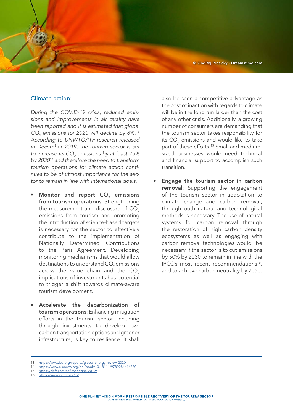© OndRej Prosický - Dreamstime.com

#### Climate action:

*During the COVID-19 crisis, reduced emissions and improvements in air quality have been reported and it is estimated that global CO2 emissions for 2020 will decline by 8%.13 According to UNWTO/ITF research released in December 2019, the tourism sector is set to increase its CO2 emissions by at least 25% by 203014 and therefore the need to transform tourism operations for climate action continues to be of utmost importance for the sector to remain in line with international goals.*

- Monitor and report CO<sub>2</sub> emissions from tourism operations: Strengthening the measurement and disclosure of CO<sub>2</sub> emissions from tourism and promoting the introduction of science-based targets is necessary for the sector to effectively contribute to the implementation of Nationally Determined Contributions to the Paris Agreement. Developing monitoring mechanisms that would allow destinations to understand CO<sub>2</sub> emissions across the value chain and the  $CO<sub>2</sub>$ implications of investments has potential to trigger a shift towards climate-aware tourism development.
- Accelerate the decarbonization of tourism operations: Enhancing mitigation efforts in the tourism sector, including through investments to develop lowcarbon transportation options and greener infrastructure, is key to resilience. It shall

also be seen a competitive advantage as the cost of inaction with regards to climate will be in the long run larger than the cost of any other crisis. Additionally, a growing number of consumers are demanding that the tourism sector takes responsibility for its CO $_{\textrm{\tiny{2}}}$  emissions and would like to take part of these efforts.<sup>15</sup> Small and mediumsized businesses would need technical and financial support to accomplish such transition.

Engage the tourism sector in carbon removal: Supporting the engagement of the tourism sector in adaptation to climate change and carbon removal, through both natural and technological methods is necessary. The use of natural systems for carbon removal through the restoration of high carbon density ecosystems as well as engaging with carbon removal technologies would be necessary if the sector is to cut emissions by 50% by 2030 to remain in line with the IPCC's most recent recommendations<sup>16</sup>, and to achieve carbon neutrality by 2050.

<https://www.iea.org/reports/global-energy-review-2020>

<sup>14</sup> <https://www.e-unwto.org/doi/book/10.18111/9789284416660>

<sup>15</sup> <https://skift.com/sgf-magazine-2019/>

<sup>16</sup> <https://www.ipcc.ch/sr15/>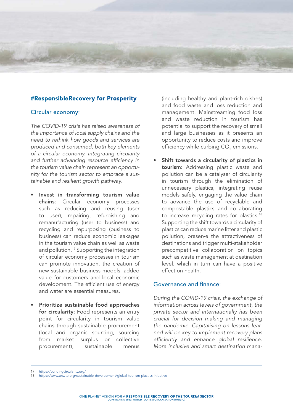# #ResponsibleRecovery for Prosperity

#### Circular economy:

*The COVID-19 crisis has raised awareness of the importance of local supply chains and the need to rethink how goods and services are produced and consumed, both key elements of a circular economy. Integrating circularity and further advancing resource efficiency in the tourism value chain represent an opportunity for the tourism sector to embrace a sustainable and resilient growth pathway*.

- Invest in transforming tourism value chains: Circular economy processes such as reducing and reusing (user to user), repairing, refurbishing and remanufacturing (user to business) and recycling and repurposing (business to business) can reduce economic leakages in the tourism value chain as well as waste and pollution.<sup>17</sup> Supporting the integration of circular economy processes in tourism can promote innovation, the creation of new sustainable business models, added value for customers and local economic development. The efficient use of energy and water are essential measures.
- Prioritize sustainable food approaches for circularity: Food represents an entry point for circularity in tourism value chains through sustainable procurement (local and organic sourcing, sourcing from market surplus or collective procurement), sustainable menus

(including healthy and plant-rich dishes) and food waste and loss reduction and management. Mainstreaming food loss and waste reduction in tourism has potential to support the recovery of small and large businesses as it presents an opportunity to reduce costs and improve efficiency while curbing  $\mathsf{CO}_2$  emissions.

Shift towards a circularity of plastics in tourism: Addressing plastic waste and pollution can be a catalyser of circularity in tourism through the elimination of unnecessary plastics, integrating reuse models safely, engaging the value chain to advance the use of recyclable and compostable plastics and collaborating to increase recycling rates for plastics.<sup>18</sup> Supporting the shift towards a circularity of plastics can reduce marine litter and plastic pollution, preserve the attractiveness of destinations and trigger multi-stakeholder precompetitive collaboration on topics such as waste management at destination level, which in turn can have a positive effect on health.

## Governance and finance:

*During the COVID-19 crisis, the exchange of information across levels of government, the private sector and internationally has been crucial for decision making and managing the pandemic. Capitalising on lessons learned will be key to implement recovery plans efficiently and enhance global resilience. More inclusive and smart destination mana-*

<sup>17</sup> <https://buildingcircularity.org/>

<https://www.unwto.org/sustainable-development/global-tourism-plastics-initiative>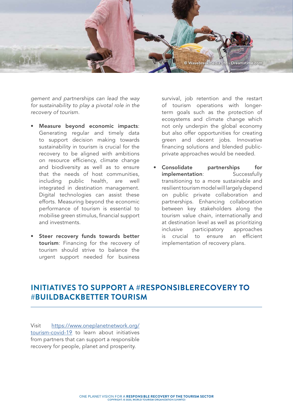

*gement and partnerships can lead the way for sustainability to play a pivotal role in the recovery of tourism.* 

- Measure beyond economic impacts: Generating regular and timely data to support decision making towards sustainability in tourism is crucial for the recovery to be aligned with ambitions on resource efficiency, climate change and biodiversity as well as to ensure that the needs of host communities, including public health, are well integrated in destination management. Digital technologies can assist these efforts. Measuring beyond the economic performance of tourism is essential to mobilise green stimulus, financial support and investments.
- Steer recovery funds towards better tourism: Financing for the recovery of tourism should strive to balance the urgent support needed for business

survival, job retention and the restart of tourism operations with longerterm goals such as the protection of ecosystems and climate change which not only underpin the global economy but also offer opportunities for creating green and decent jobs. Innovative financing solutions and blended publicprivate approaches would be needed.

Consolidate partnerships for implementation: Successfully transitioning to a more sustainable and resilient tourism model will largely depend on public private collaboration and partnerships. Enhancing collaboration between key stakeholders along the tourism value chain, internationally and at destination level as well as prioritizing inclusive participatory approaches is crucial to ensure an efficient implementation of recovery plans.

# **INITIATIVES TO SUPPORT A #RESPONSIBLERECOVERY TO #BUILDBACKBETTER TOURISM**

Visit [https://www.oneplanetnetwork.org/](https://www.oneplanetnetwork.org/sustainable-tourism/covid-19-responsible-recovery-tourism) [tourism-covid-19](https://www.oneplanetnetwork.org/sustainable-tourism/covid-19-responsible-recovery-tourism) to learn about initiatives from partners that can support a responsible recovery for people, planet and prosperity.